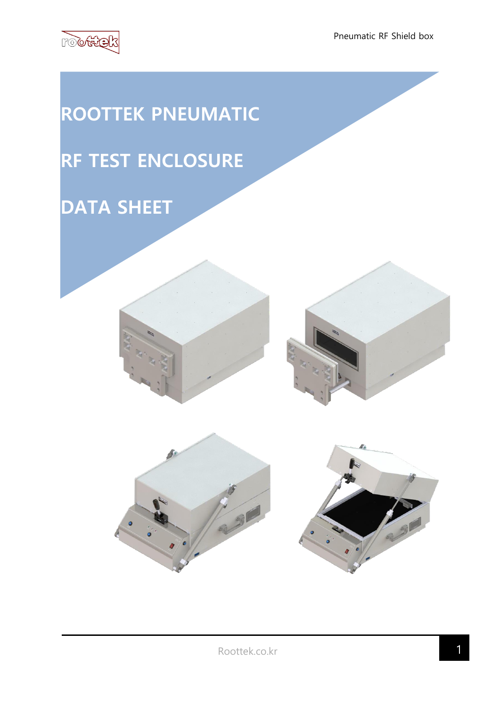

# **ROOTTEK PNEUMATIC RF TEST ENCLOSURE DATA SHEET**





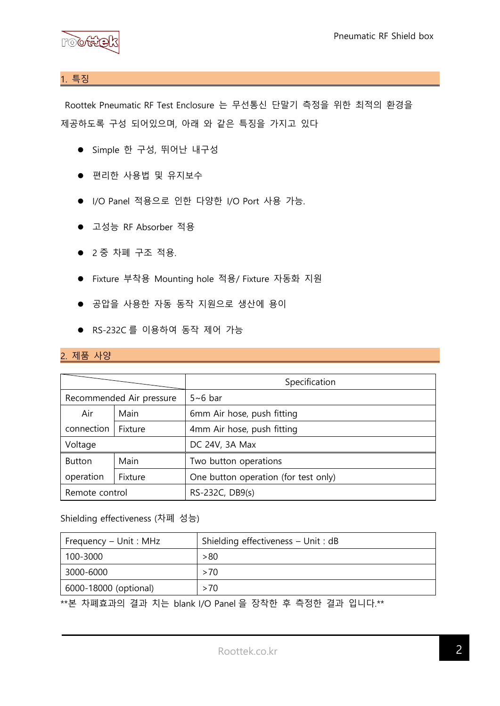

## 1. 특징

Roottek Pneumatic RF Test Enclosure 는 무선통신 단말기 측정을 위한 최적의 환경을 제공하도록 구성 되어있으며, 아래 와 같은 특징을 가지고 있다

- ⚫ Simple 한 구성, 뛰어난 내구성
- 편리한 사용법 및 유지보수
- I/O Panel 적용으로 인한 다양한 I/O Port 사용 가능.
- 고성능 RF Absorber 적용
- ⚫ 2 중 차폐 구조 적용.
- Fixture 부착용 Mounting hole 적용/ Fixture 자동화 지원
- 공압을 사용한 자동 동작 지원으로 생산에 용이
- RS-232C 를 이용하여 동작 제어 가능

### 2. 제품 사양

|                          |         | Specification                        |
|--------------------------|---------|--------------------------------------|
| Recommended Air pressure |         | $5~6$ bar                            |
| Air                      | Main    | 6mm Air hose, push fitting           |
| connection               | Fixture | 4mm Air hose, push fitting           |
| Voltage                  |         | DC 24V, 3A Max                       |
| <b>Button</b>            | Main    | Two button operations                |
| operation                | Fixture | One button operation (for test only) |
| Remote control           |         | RS-232C, DB9(s)                      |

### Shielding effectiveness (차폐 성능)

| Frequency – Unit : MHz | Shielding effectiveness – Unit : dB |
|------------------------|-------------------------------------|
| 100-3000               | >80                                 |
| 3000-6000              | >70                                 |
| 6000-18000 (optional)  | >70                                 |

\*\*본 차폐효과의 결과 치는 blank I/O Panel 을 장착한 후 측정한 결과 입니다.\*\*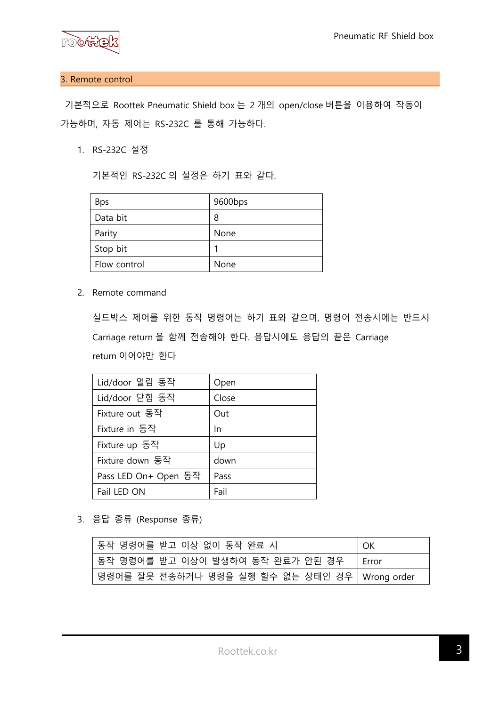

### 3. Remote control

기본적으로 Roottek Pneumatic Shield box 는 2 개의 open/close 버튼을 이용하여 작동이 가능하며, 자동 제어는 RS-232C 를 통해 가능하다.

1. RS-232C 설정

기본적인 RS-232C 의 설정은 하기 표와 같다.

| <b>Bps</b>   | 9600bps |
|--------------|---------|
| Data bit     | 8       |
| Parity       | None    |
| Stop bit     |         |
| Flow control | None    |

2. Remote command

실드박스 제어를 위한 동작 명령어는 하기 표와 같으며, 명령어 전송시에는 반드시 Carriage return 을 함께 전송해야 한다. 응답시에도 응답의 끝은 Carriage return 이어야만 한다

| Lid/door 열림 동작       | Open  |
|----------------------|-------|
| Lid/door 닫힘 동작       | Close |
| Fixture out 동작       | Out   |
| Fixture in 동작        | In.   |
| Fixture up 동작        | Up    |
| Fixture down 동작      | down  |
| Pass LED On+ Open 동작 | Pass  |
| Fail LED ON          | Fail  |

3. 응답 종류 (Response 종류)

| 동작 명령어를 받고 이상 없이 동작 완료 시                      | OK      |
|-----------------------------------------------|---------|
| 동작 명령어를 받고 이상이 발생하여 동작 완료가 안된 경우              | l Frror |
| 명령어를 잘못 전송하거나 명령을 실행 할수 없는 상태인 경우 Wrong order |         |